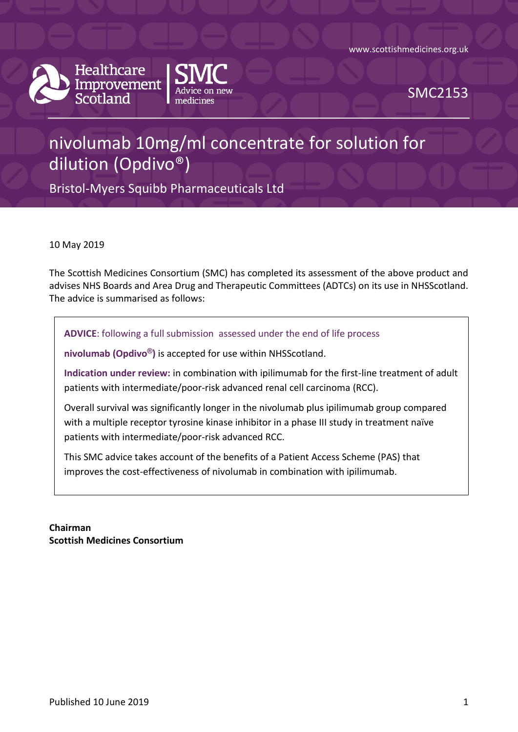www.scottishmedicines.org.uk



Healthcare Improvement Scotland



SMC2153

# nivolumab 10mg/ml concentrate for solution for dilution (Opdivo®)

Bristol-Myers Squibb Pharmaceuticals Ltd

10 May 2019

The Scottish Medicines Consortium (SMC) has completed its assessment of the above product and advises NHS Boards and Area Drug and Therapeutic Committees (ADTCs) on its use in NHSScotland. The advice is summarised as follows:

**ADVICE**: following a full submission assessed under the end of life process

**nivolumab (Opdivo®)** is accepted for use within NHSScotland.

**Indication under review:** in combination with ipilimumab for the first-line treatment of adult patients with intermediate/poor-risk advanced renal cell carcinoma (RCC).

Overall survival was significantly longer in the nivolumab plus ipilimumab group compared with a multiple receptor tyrosine kinase inhibitor in a phase III study in treatment naïve patients with intermediate/poor-risk advanced RCC.

This SMC advice takes account of the benefits of a Patient Access Scheme (PAS) that improves the cost-effectiveness of nivolumab in combination with ipilimumab.

**Chairman Scottish Medicines Consortium**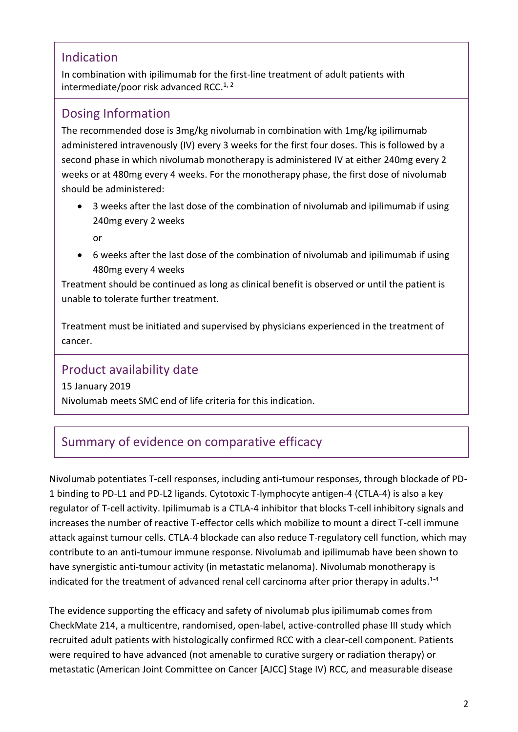### Indication

In combination with ipilimumab for the first-line treatment of adult patients with intermediate/poor risk advanced RCC. $1, 2$ 

### Dosing Information

The recommended dose is 3mg/kg nivolumab in combination with 1mg/kg ipilimumab administered intravenously (IV) every 3 weeks for the first four doses. This is followed by a second phase in which nivolumab monotherapy is administered IV at either 240mg every 2 weeks or at 480mg every 4 weeks. For the monotherapy phase, the first dose of nivolumab should be administered:

 3 weeks after the last dose of the combination of nivolumab and ipilimumab if using 240mg every 2 weeks

or

 6 weeks after the last dose of the combination of nivolumab and ipilimumab if using 480mg every 4 weeks

Treatment should be continued as long as clinical benefit is observed or until the patient is unable to tolerate further treatment.

Treatment must be initiated and supervised by physicians experienced in the treatment of cancer.

### Product availability date

15 January 2019 Nivolumab meets SMC end of life criteria for this indication.

# Summary of evidence on comparative efficacy

Nivolumab potentiates T-cell responses, including anti-tumour responses, through blockade of PD-1 binding to PD-L1 and PD-L2 ligands. Cytotoxic T-lymphocyte antigen-4 (CTLA-4) is also a key regulator of T-cell activity. Ipilimumab is a CTLA-4 inhibitor that blocks T-cell inhibitory signals and increases the number of reactive T-effector cells which mobilize to mount a direct T-cell immune attack against tumour cells. CTLA-4 blockade can also reduce T-regulatory cell function, which may contribute to an anti-tumour immune response. Nivolumab and ipilimumab have been shown to have synergistic anti-tumour activity (in metastatic melanoma). Nivolumab monotherapy is indicated for the treatment of advanced renal cell carcinoma after prior therapy in adults.<sup>1-4</sup>

The evidence supporting the efficacy and safety of nivolumab plus ipilimumab comes from CheckMate 214, a multicentre, randomised, open-label, active-controlled phase III study which recruited adult patients with histologically confirmed RCC with a clear-cell component. Patients were required to have advanced (not amenable to curative surgery or radiation therapy) or metastatic (American Joint Committee on Cancer [AJCC] Stage IV) RCC, and measurable disease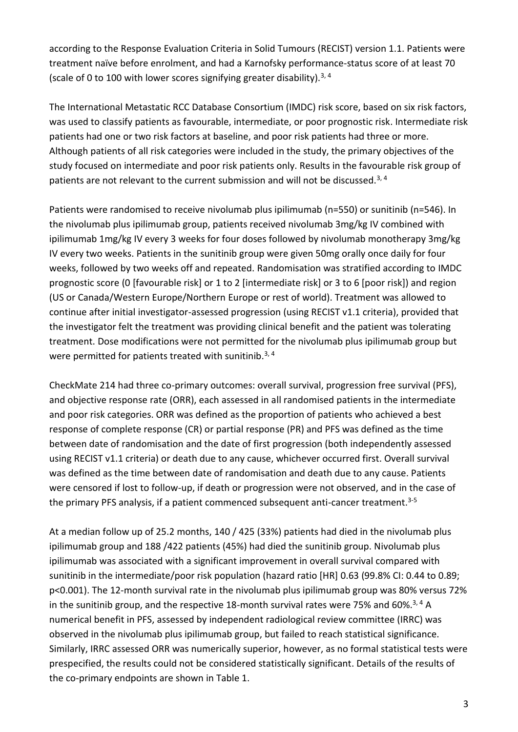according to the Response Evaluation Criteria in Solid Tumours (RECIST) version 1.1. Patients were treatment naïve before enrolment, and had a Karnofsky performance-status score of at least 70 (scale of 0 to 100 with lower scores signifying greater disability).<sup>3, 4</sup>

The International Metastatic RCC Database Consortium (IMDC) risk score, based on six risk factors, was used to classify patients as favourable, intermediate, or poor prognostic risk. Intermediate risk patients had one or two risk factors at baseline, and poor risk patients had three or more. Although patients of all risk categories were included in the study, the primary objectives of the study focused on intermediate and poor risk patients only. Results in the favourable risk group of patients are not relevant to the current submission and will not be discussed.<sup>3, 4</sup>

Patients were randomised to receive nivolumab plus ipilimumab (n=550) or sunitinib (n=546). In the nivolumab plus ipilimumab group, patients received nivolumab 3mg/kg IV combined with ipilimumab 1mg/kg IV every 3 weeks for four doses followed by nivolumab monotherapy 3mg/kg IV every two weeks. Patients in the sunitinib group were given 50mg orally once daily for four weeks, followed by two weeks off and repeated. Randomisation was stratified according to IMDC prognostic score (0 [favourable risk] or 1 to 2 [intermediate risk] or 3 to 6 [poor risk]) and region (US or Canada/Western Europe/Northern Europe or rest of world). Treatment was allowed to continue after initial investigator-assessed progression (using RECIST v1.1 criteria), provided that the investigator felt the treatment was providing clinical benefit and the patient was tolerating treatment. Dose modifications were not permitted for the nivolumab plus ipilimumab group but were permitted for patients treated with sunitinib.<sup>3, 4</sup>

CheckMate 214 had three co-primary outcomes: overall survival, progression free survival (PFS), and objective response rate (ORR), each assessed in all randomised patients in the intermediate and poor risk categories. ORR was defined as the proportion of patients who achieved a best response of complete response (CR) or partial response (PR) and PFS was defined as the time between date of randomisation and the date of first progression (both independently assessed using RECIST v1.1 criteria) or death due to any cause, whichever occurred first. Overall survival was defined as the time between date of randomisation and death due to any cause. Patients were censored if lost to follow-up, if death or progression were not observed, and in the case of the primary PFS analysis, if a patient commenced subsequent anti-cancer treatment.<sup>3-5</sup>

At a median follow up of 25.2 months, 140 / 425 (33%) patients had died in the nivolumab plus ipilimumab group and 188 /422 patients (45%) had died the sunitinib group. Nivolumab plus ipilimumab was associated with a significant improvement in overall survival compared with sunitinib in the intermediate/poor risk population (hazard ratio [HR] 0.63 (99.8% CI: 0.44 to 0.89; p<0.001). The 12-month survival rate in the nivolumab plus ipilimumab group was 80% versus 72% in the sunitinib group, and the respective 18-month survival rates were 75% and 60%.<sup>3, 4</sup> A numerical benefit in PFS, assessed by independent radiological review committee (IRRC) was observed in the nivolumab plus ipilimumab group, but failed to reach statistical significance. Similarly, IRRC assessed ORR was numerically superior, however, as no formal statistical tests were prespecified, the results could not be considered statistically significant. Details of the results of the co-primary endpoints are shown in Table 1.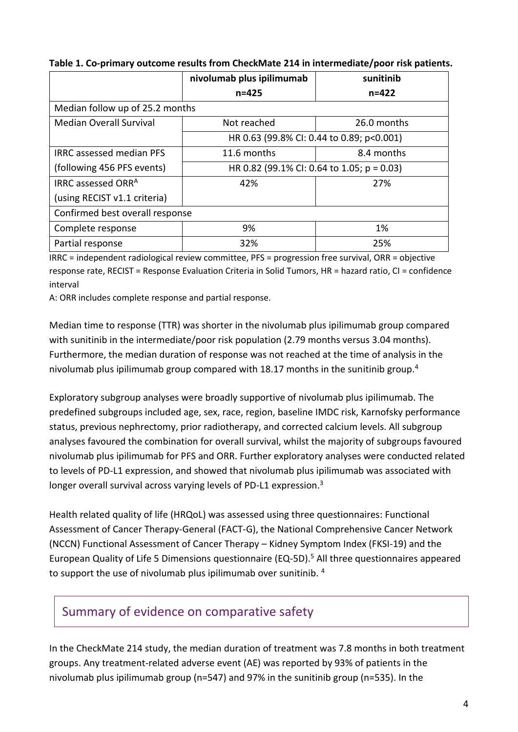|                                 | nivolumab plus ipilimumab                     | sunitinib   |  |
|---------------------------------|-----------------------------------------------|-------------|--|
|                                 | $n = 425$                                     | $n = 422$   |  |
| Median follow up of 25.2 months |                                               |             |  |
| <b>Median Overall Survival</b>  | Not reached                                   | 26.0 months |  |
|                                 | HR 0.63 (99.8% CI: 0.44 to 0.89; p<0.001)     |             |  |
| <b>IRRC</b> assessed median PFS | 11.6 months                                   | 8.4 months  |  |
| (following 456 PFS events)      | HR 0.82 (99.1% CI: 0.64 to 1.05; $p = 0.03$ ) |             |  |
| IRRC assessed ORR <sup>A</sup>  | 42%                                           | 27%         |  |
| (using RECIST v1.1 criteria)    |                                               |             |  |
| Confirmed best overall response |                                               |             |  |
| Complete response               | 9%                                            | 1%          |  |
| Partial response                | 32%                                           | 25%         |  |

### **Table 1. Co-primary outcome results from CheckMate 214 in intermediate/poor risk patients.**

IRRC = independent radiological review committee, PFS = progression free survival, ORR = objective response rate, RECIST = Response Evaluation Criteria in Solid Tumors, HR = hazard ratio, CI = confidence interval

A: ORR includes complete response and partial response.

Median time to response (TTR) was shorter in the nivolumab plus ipilimumab group compared with sunitinib in the intermediate/poor risk population (2.79 months versus 3.04 months). Furthermore, the median duration of response was not reached at the time of analysis in the nivolumab plus ipilimumab group compared with 18.17 months in the sunitinib group.<sup>4</sup>

Exploratory subgroup analyses were broadly supportive of nivolumab plus ipilimumab. The predefined subgroups included age, sex, race, region, baseline IMDC risk, Karnofsky performance status, previous nephrectomy, prior radiotherapy, and corrected calcium levels. All subgroup analyses favoured the combination for overall survival, whilst the majority of subgroups favoured nivolumab plus ipilimumab for PFS and ORR. Further exploratory analyses were conducted related to levels of PD-L1 expression, and showed that nivolumab plus ipilimumab was associated with longer overall survival across varying levels of PD-L1 expression.<sup>3</sup>

Health related quality of life (HRQoL) was assessed using three questionnaires: Functional Assessment of Cancer Therapy-General (FACT-G), the National Comprehensive Cancer Network (NCCN) Functional Assessment of Cancer Therapy – Kidney Symptom Index (FKSI-19) and the European Quality of Life 5 Dimensions questionnaire (EQ-5D).<sup>5</sup> All three questionnaires appeared to support the use of nivolumab plus ipilimumab over sunitinib. <sup>4</sup>

# Summary of evidence on comparative safety

In the CheckMate 214 study, the median duration of treatment was 7.8 months in both treatment groups. Any treatment-related adverse event (AE) was reported by 93% of patients in the nivolumab plus ipilimumab group (n=547) and 97% in the sunitinib group (n=535). In the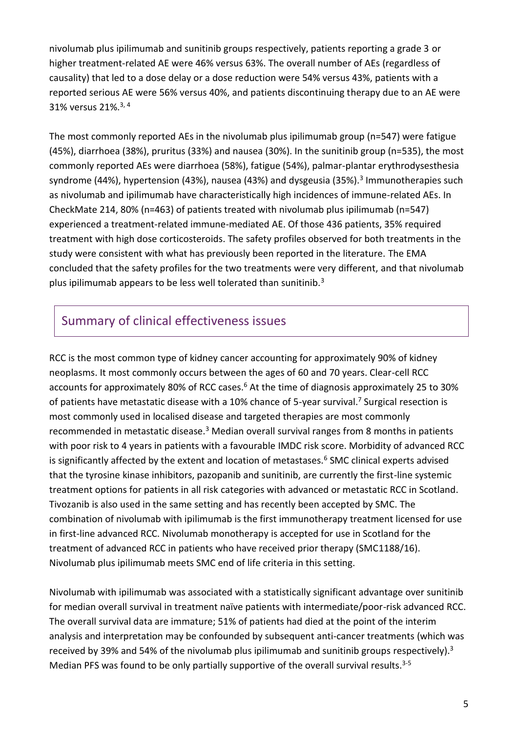nivolumab plus ipilimumab and sunitinib groups respectively, patients reporting a grade 3 or higher treatment-related AE were 46% versus 63%. The overall number of AEs (regardless of causality) that led to a dose delay or a dose reduction were 54% versus 43%, patients with a reported serious AE were 56% versus 40%, and patients discontinuing therapy due to an AE were 31% versus 21%.3, 4

The most commonly reported AEs in the nivolumab plus ipilimumab group (n=547) were fatigue (45%), diarrhoea (38%), pruritus (33%) and nausea (30%). In the sunitinib group (n=535), the most commonly reported AEs were diarrhoea (58%), fatigue (54%), palmar-plantar erythrodysesthesia syndrome (44%), hypertension (43%), nausea (43%) and dysgeusia (35%).<sup>3</sup> Immunotherapies such as nivolumab and ipilimumab have characteristically high incidences of immune-related AEs. In CheckMate 214, 80% (n=463) of patients treated with nivolumab plus ipilimumab (n=547) experienced a treatment-related immune-mediated AE. Of those 436 patients, 35% required treatment with high dose corticosteroids. The safety profiles observed for both treatments in the study were consistent with what has previously been reported in the literature. The EMA concluded that the safety profiles for the two treatments were very different, and that nivolumab plus ipilimumab appears to be less well tolerated than sunitinib.<sup>3</sup>

### Summary of clinical effectiveness issues

RCC is the most common type of kidney cancer accounting for approximately 90% of kidney neoplasms. It most commonly occurs between the ages of 60 and 70 years. Clear-cell RCC accounts for approximately 80% of RCC cases.<sup>6</sup> At the time of diagnosis approximately 25 to 30% of patients have metastatic disease with a 10% chance of 5-year survival.<sup>7</sup> Surgical resection is most commonly used in localised disease and targeted therapies are most commonly recommended in metastatic disease.<sup>3</sup> Median overall survival ranges from 8 months in patients with poor risk to 4 years in patients with a favourable IMDC risk score. Morbidity of advanced RCC is significantly affected by the extent and location of metastases.<sup>6</sup> SMC clinical experts advised that the tyrosine kinase inhibitors, pazopanib and sunitinib, are currently the first-line systemic treatment options for patients in all risk categories with advanced or metastatic RCC in Scotland. Tivozanib is also used in the same setting and has recently been accepted by SMC. The combination of nivolumab with ipilimumab is the first immunotherapy treatment licensed for use in first-line advanced RCC. Nivolumab monotherapy is accepted for use in Scotland for the treatment of advanced RCC in patients who have received prior therapy (SMC1188/16). Nivolumab plus ipilimumab meets SMC end of life criteria in this setting.

Nivolumab with ipilimumab was associated with a statistically significant advantage over sunitinib for median overall survival in treatment naïve patients with intermediate/poor-risk advanced RCC. The overall survival data are immature; 51% of patients had died at the point of the interim analysis and interpretation may be confounded by subsequent anti-cancer treatments (which was received by 39% and 54% of the nivolumab plus ipilimumab and sunitinib groups respectively).<sup>3</sup> Median PFS was found to be only partially supportive of the overall survival results.<sup>3-5</sup>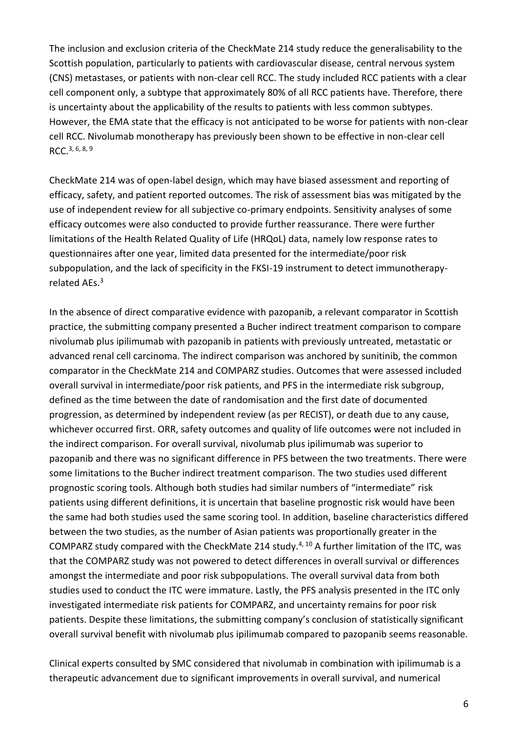The inclusion and exclusion criteria of the CheckMate 214 study reduce the generalisability to the Scottish population, particularly to patients with cardiovascular disease, central nervous system (CNS) metastases, or patients with non-clear cell RCC. The study included RCC patients with a clear cell component only, a subtype that approximately 80% of all RCC patients have. Therefore, there is uncertainty about the applicability of the results to patients with less common subtypes. However, the EMA state that the efficacy is not anticipated to be worse for patients with non-clear cell RCC. Nivolumab monotherapy has previously been shown to be effective in non-clear cell RCC.3, 6, 8, 9

CheckMate 214 was of open-label design, which may have biased assessment and reporting of efficacy, safety, and patient reported outcomes. The risk of assessment bias was mitigated by the use of independent review for all subjective co-primary endpoints. Sensitivity analyses of some efficacy outcomes were also conducted to provide further reassurance. There were further limitations of the Health Related Quality of Life (HRQoL) data, namely low response rates to questionnaires after one year, limited data presented for the intermediate/poor risk subpopulation, and the lack of specificity in the FKSI-19 instrument to detect immunotherapyrelated AEs.<sup>3</sup>

In the absence of direct comparative evidence with pazopanib, a relevant comparator in Scottish practice, the submitting company presented a Bucher indirect treatment comparison to compare nivolumab plus ipilimumab with pazopanib in patients with previously untreated, metastatic or advanced renal cell carcinoma. The indirect comparison was anchored by sunitinib, the common comparator in the CheckMate 214 and COMPARZ studies. Outcomes that were assessed included overall survival in intermediate/poor risk patients, and PFS in the intermediate risk subgroup, defined as the time between the date of randomisation and the first date of documented progression, as determined by independent review (as per RECIST), or death due to any cause, whichever occurred first. ORR, safety outcomes and quality of life outcomes were not included in the indirect comparison. For overall survival, nivolumab plus ipilimumab was superior to pazopanib and there was no significant difference in PFS between the two treatments. There were some limitations to the Bucher indirect treatment comparison. The two studies used different prognostic scoring tools. Although both studies had similar numbers of "intermediate" risk patients using different definitions, it is uncertain that baseline prognostic risk would have been the same had both studies used the same scoring tool. In addition, baseline characteristics differed between the two studies, as the number of Asian patients was proportionally greater in the COMPARZ study compared with the CheckMate 214 study. $4,10$  A further limitation of the ITC, was that the COMPARZ study was not powered to detect differences in overall survival or differences amongst the intermediate and poor risk subpopulations. The overall survival data from both studies used to conduct the ITC were immature. Lastly, the PFS analysis presented in the ITC only investigated intermediate risk patients for COMPARZ, and uncertainty remains for poor risk patients. Despite these limitations, the submitting company's conclusion of statistically significant overall survival benefit with nivolumab plus ipilimumab compared to pazopanib seems reasonable.

Clinical experts consulted by SMC considered that nivolumab in combination with ipilimumab is a therapeutic advancement due to significant improvements in overall survival, and numerical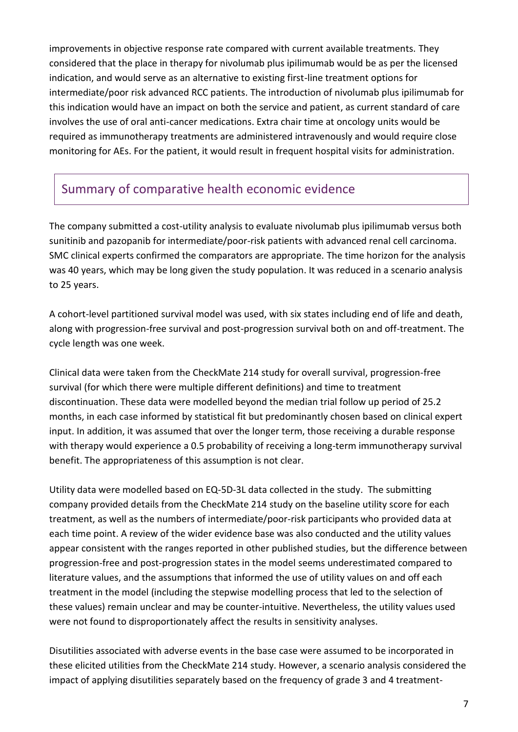improvements in objective response rate compared with current available treatments. They considered that the place in therapy for nivolumab plus ipilimumab would be as per the licensed indication, and would serve as an alternative to existing first-line treatment options for intermediate/poor risk advanced RCC patients. The introduction of nivolumab plus ipilimumab for this indication would have an impact on both the service and patient, as current standard of care involves the use of oral anti-cancer medications. Extra chair time at oncology units would be required as immunotherapy treatments are administered intravenously and would require close monitoring for AEs. For the patient, it would result in frequent hospital visits for administration.

## Summary of comparative health economic evidence

The company submitted a cost-utility analysis to evaluate nivolumab plus ipilimumab versus both sunitinib and pazopanib for intermediate/poor-risk patients with advanced renal cell carcinoma. SMC clinical experts confirmed the comparators are appropriate. The time horizon for the analysis was 40 years, which may be long given the study population. It was reduced in a scenario analysis to 25 years.

A cohort-level partitioned survival model was used, with six states including end of life and death, along with progression-free survival and post-progression survival both on and off-treatment. The cycle length was one week.

Clinical data were taken from the CheckMate 214 study for overall survival, progression-free survival (for which there were multiple different definitions) and time to treatment discontinuation. These data were modelled beyond the median trial follow up period of 25.2 months, in each case informed by statistical fit but predominantly chosen based on clinical expert input. In addition, it was assumed that over the longer term, those receiving a durable response with therapy would experience a 0.5 probability of receiving a long-term immunotherapy survival benefit. The appropriateness of this assumption is not clear.

Utility data were modelled based on EQ-5D-3L data collected in the study. The submitting company provided details from the CheckMate 214 study on the baseline utility score for each treatment, as well as the numbers of intermediate/poor-risk participants who provided data at each time point. A review of the wider evidence base was also conducted and the utility values appear consistent with the ranges reported in other published studies, but the difference between progression-free and post-progression states in the model seems underestimated compared to literature values, and the assumptions that informed the use of utility values on and off each treatment in the model (including the stepwise modelling process that led to the selection of these values) remain unclear and may be counter-intuitive. Nevertheless, the utility values used were not found to disproportionately affect the results in sensitivity analyses.

Disutilities associated with adverse events in the base case were assumed to be incorporated in these elicited utilities from the CheckMate 214 study. However, a scenario analysis considered the impact of applying disutilities separately based on the frequency of grade 3 and 4 treatment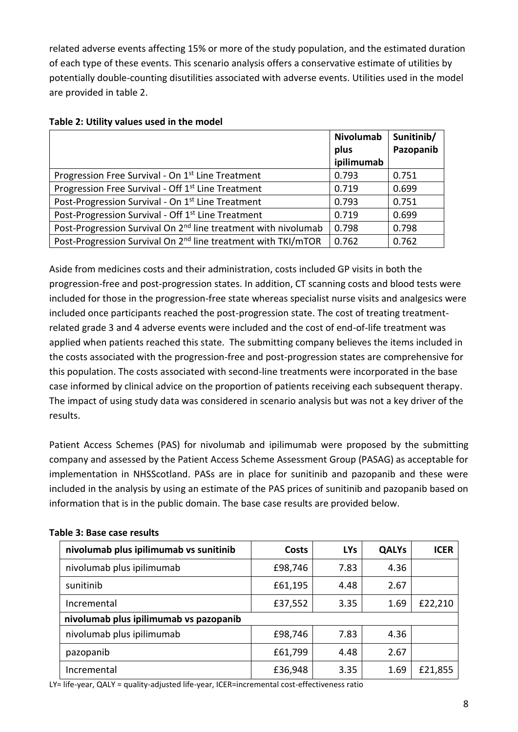related adverse events affecting 15% or more of the study population, and the estimated duration of each type of these events. This scenario analysis offers a conservative estimate of utilities by potentially double-counting disutilities associated with adverse events. Utilities used in the model are provided in table 2.

|                                                                            | <b>Nivolumab</b> | Sunitinib/ |
|----------------------------------------------------------------------------|------------------|------------|
|                                                                            | plus             | Pazopanib  |
|                                                                            | ipilimumab       |            |
| Progression Free Survival - On 1 <sup>st</sup> Line Treatment              | 0.793            | 0.751      |
| Progression Free Survival - Off 1 <sup>st</sup> Line Treatment             | 0.719            | 0.699      |
| Post-Progression Survival - On 1 <sup>st</sup> Line Treatment              | 0.793            | 0.751      |
| Post-Progression Survival - Off 1 <sup>st</sup> Line Treatment             | 0.719            | 0.699      |
| Post-Progression Survival On 2 <sup>nd</sup> line treatment with nivolumab | 0.798            | 0.798      |
| Post-Progression Survival On 2 <sup>nd</sup> line treatment with TKI/mTOR  | 0.762            | 0.762      |

#### **Table 2: Utility values used in the model**

Aside from medicines costs and their administration, costs included GP visits in both the progression-free and post-progression states. In addition, CT scanning costs and blood tests were included for those in the progression-free state whereas specialist nurse visits and analgesics were included once participants reached the post-progression state. The cost of treating treatmentrelated grade 3 and 4 adverse events were included and the cost of end-of-life treatment was applied when patients reached this state. The submitting company believes the items included in the costs associated with the progression-free and post-progression states are comprehensive for this population. The costs associated with second-line treatments were incorporated in the base case informed by clinical advice on the proportion of patients receiving each subsequent therapy. The impact of using study data was considered in scenario analysis but was not a key driver of the results.

Patient Access Schemes (PAS) for nivolumab and ipilimumab were proposed by the submitting company and assessed by the Patient Access Scheme Assessment Group (PASAG) as acceptable for implementation in NHSScotland. PASs are in place for sunitinib and pazopanib and these were included in the analysis by using an estimate of the PAS prices of sunitinib and pazopanib based on information that is in the public domain. The base case results are provided below.

| nivolumab plus ipilimumab vs sunitinib | <b>Costs</b> | <b>LYs</b> | <b>QALYs</b> | <b>ICER</b> |
|----------------------------------------|--------------|------------|--------------|-------------|
| nivolumab plus ipilimumab              | £98,746      | 7.83       | 4.36         |             |
| sunitinib                              | £61,195      | 4.48       | 2.67         |             |
| Incremental                            | £37,552      | 3.35       | 1.69         | £22,210     |
| nivolumab plus ipilimumab vs pazopanib |              |            |              |             |
| nivolumab plus ipilimumab              | £98,746      | 7.83       | 4.36         |             |
| pazopanib                              | £61,799      | 4.48       | 2.67         |             |
| Incremental                            | £36,948      | 3.35       | 1.69         | £21,855     |

#### **Table 3: Base case results**

LY= life-year, QALY = quality-adjusted life-year, ICER=incremental cost-effectiveness ratio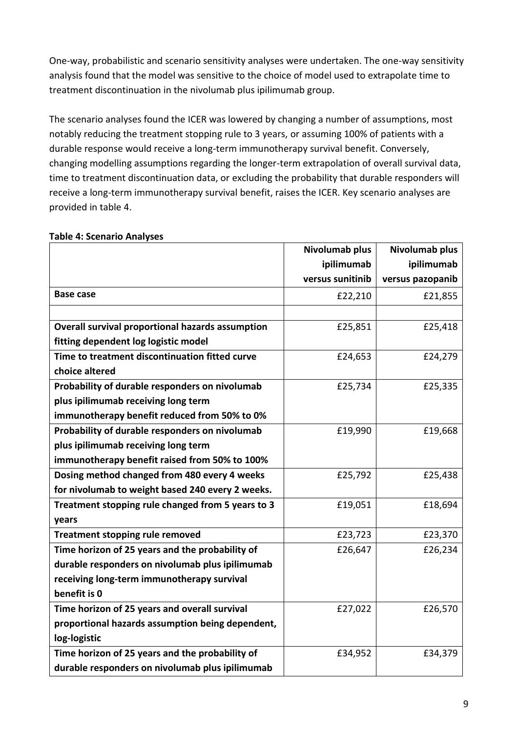One-way, probabilistic and scenario sensitivity analyses were undertaken. The one-way sensitivity analysis found that the model was sensitive to the choice of model used to extrapolate time to treatment discontinuation in the nivolumab plus ipilimumab group.

The scenario analyses found the ICER was lowered by changing a number of assumptions, most notably reducing the treatment stopping rule to 3 years, or assuming 100% of patients with a durable response would receive a long-term immunotherapy survival benefit. Conversely, changing modelling assumptions regarding the longer-term extrapolation of overall survival data, time to treatment discontinuation data, or excluding the probability that durable responders will receive a long-term immunotherapy survival benefit, raises the ICER. Key scenario analyses are provided in table 4.

|                                                   | Nivolumab plus   | Nivolumab plus   |
|---------------------------------------------------|------------------|------------------|
|                                                   | ipilimumab       | ipilimumab       |
|                                                   | versus sunitinib | versus pazopanib |
| <b>Base case</b>                                  | £22,210          | £21,855          |
|                                                   |                  |                  |
| Overall survival proportional hazards assumption  | £25,851          | £25,418          |
| fitting dependent log logistic model              |                  |                  |
| Time to treatment discontinuation fitted curve    | £24,653          | £24,279          |
| choice altered                                    |                  |                  |
| Probability of durable responders on nivolumab    | £25,734          | £25,335          |
| plus ipilimumab receiving long term               |                  |                  |
| immunotherapy benefit reduced from 50% to 0%      |                  |                  |
| Probability of durable responders on nivolumab    | £19,990          | £19,668          |
| plus ipilimumab receiving long term               |                  |                  |
| immunotherapy benefit raised from 50% to 100%     |                  |                  |
| Dosing method changed from 480 every 4 weeks      | £25,792          | £25,438          |
| for nivolumab to weight based 240 every 2 weeks.  |                  |                  |
| Treatment stopping rule changed from 5 years to 3 | £19,051          | £18,694          |
| years                                             |                  |                  |
| <b>Treatment stopping rule removed</b>            | £23,723          | £23,370          |
| Time horizon of 25 years and the probability of   | £26,647          | £26,234          |
| durable responders on nivolumab plus ipilimumab   |                  |                  |
| receiving long-term immunotherapy survival        |                  |                  |
| benefit is 0                                      |                  |                  |
| Time horizon of 25 years and overall survival     | £27,022          | £26,570          |
| proportional hazards assumption being dependent,  |                  |                  |
| log-logistic                                      |                  |                  |
| Time horizon of 25 years and the probability of   | £34,952          | £34,379          |
| durable responders on nivolumab plus ipilimumab   |                  |                  |

### **Table 4: Scenario Analyses**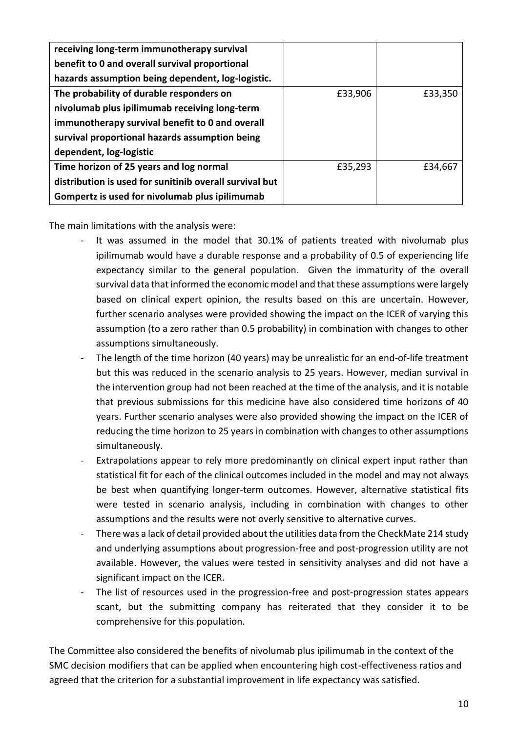| receiving long-term immunotherapy survival              |         |         |
|---------------------------------------------------------|---------|---------|
| benefit to 0 and overall survival proportional          |         |         |
| hazards assumption being dependent, log-logistic.       |         |         |
| The probability of durable responders on                | £33,906 | £33,350 |
| nivolumab plus ipilimumab receiving long-term           |         |         |
| immunotherapy survival benefit to 0 and overall         |         |         |
| survival proportional hazards assumption being          |         |         |
| dependent, log-logistic                                 |         |         |
| Time horizon of 25 years and log normal                 | £35,293 | £34,667 |
| distribution is used for sunitinib overall survival but |         |         |
| Gompertz is used for nivolumab plus ipilimumab          |         |         |

The main limitations with the analysis were:

- It was assumed in the model that 30.1% of patients treated with nivolumab plus ipilimumab would have a durable response and a probability of 0.5 of experiencing life expectancy similar to the general population. Given the immaturity of the overall survival data that informed the economic model and that these assumptions were largely based on clinical expert opinion, the results based on this are uncertain. However, further scenario analyses were provided showing the impact on the ICER of varying this assumption (to a zero rather than 0.5 probability) in combination with changes to other assumptions simultaneously.
- The length of the time horizon (40 years) may be unrealistic for an end-of-life treatment but this was reduced in the scenario analysis to 25 years. However, median survival in the intervention group had not been reached at the time of the analysis, and it is notable that previous submissions for this medicine have also considered time horizons of 40 years. Further scenario analyses were also provided showing the impact on the ICER of reducing the time horizon to 25 years in combination with changes to other assumptions simultaneously.
- Extrapolations appear to rely more predominantly on clinical expert input rather than statistical fit for each of the clinical outcomes included in the model and may not always be best when quantifying longer-term outcomes. However, alternative statistical fits were tested in scenario analysis, including in combination with changes to other assumptions and the results were not overly sensitive to alternative curves.
- There was a lack of detail provided about the utilities data from the CheckMate 214 study and underlying assumptions about progression-free and post-progression utility are not available. However, the values were tested in sensitivity analyses and did not have a significant impact on the ICER.
- The list of resources used in the progression-free and post-progression states appears scant, but the submitting company has reiterated that they consider it to be comprehensive for this population.

The Committee also considered the benefits of nivolumab plus ipilimumab in the context of the SMC decision modifiers that can be applied when encountering high cost-effectiveness ratios and agreed that the criterion for a substantial improvement in life expectancy was satisfied.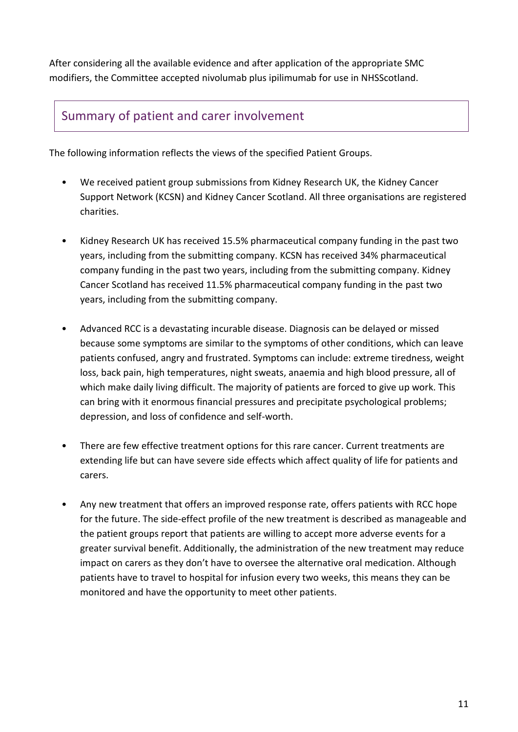After considering all the available evidence and after application of the appropriate SMC modifiers, the Committee accepted nivolumab plus ipilimumab for use in NHSScotland.

### Summary of patient and carer involvement

The following information reflects the views of the specified Patient Groups.

- We received patient group submissions from Kidney Research UK, the Kidney Cancer Support Network (KCSN) and Kidney Cancer Scotland. All three organisations are registered charities.
- Kidney Research UK has received 15.5% pharmaceutical company funding in the past two years, including from the submitting company. KCSN has received 34% pharmaceutical company funding in the past two years, including from the submitting company. Kidney Cancer Scotland has received 11.5% pharmaceutical company funding in the past two years, including from the submitting company.
- Advanced RCC is a devastating incurable disease. Diagnosis can be delayed or missed because some symptoms are similar to the symptoms of other conditions, which can leave patients confused, angry and frustrated. Symptoms can include: extreme tiredness, weight loss, back pain, high temperatures, night sweats, anaemia and high blood pressure, all of which make daily living difficult. The majority of patients are forced to give up work. This can bring with it enormous financial pressures and precipitate psychological problems; depression, and loss of confidence and self-worth.
- There are few effective treatment options for this rare cancer. Current treatments are extending life but can have severe side effects which affect quality of life for patients and carers.
- Any new treatment that offers an improved response rate, offers patients with RCC hope for the future. The side-effect profile of the new treatment is described as manageable and the patient groups report that patients are willing to accept more adverse events for a greater survival benefit. Additionally, the administration of the new treatment may reduce impact on carers as they don't have to oversee the alternative oral medication. Although patients have to travel to hospital for infusion every two weeks, this means they can be monitored and have the opportunity to meet other patients.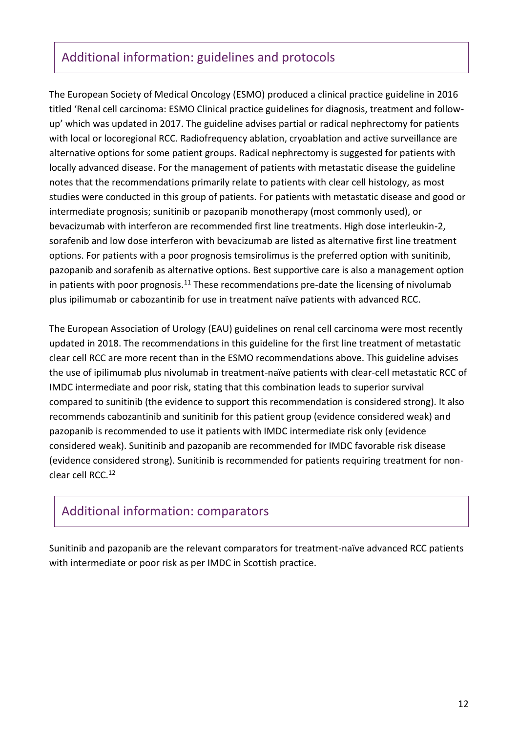### Additional information: guidelines and protocols

The European Society of Medical Oncology (ESMO) produced a clinical practice guideline in 2016 titled 'Renal cell carcinoma: ESMO Clinical practice guidelines for diagnosis, treatment and followup' which was updated in 2017. The guideline advises partial or radical nephrectomy for patients with local or locoregional RCC. Radiofrequency ablation, cryoablation and active surveillance are alternative options for some patient groups. Radical nephrectomy is suggested for patients with locally advanced disease. For the management of patients with metastatic disease the guideline notes that the recommendations primarily relate to patients with clear cell histology, as most studies were conducted in this group of patients. For patients with metastatic disease and good or intermediate prognosis; sunitinib or pazopanib monotherapy (most commonly used), or bevacizumab with interferon are recommended first line treatments. High dose interleukin-2, sorafenib and low dose interferon with bevacizumab are listed as alternative first line treatment options. For patients with a poor prognosis temsirolimus is the preferred option with sunitinib, pazopanib and sorafenib as alternative options. Best supportive care is also a management option in patients with poor prognosis.<sup>11</sup> These recommendations pre-date the licensing of nivolumab plus ipilimumab or cabozantinib for use in treatment naïve patients with advanced RCC.

The European Association of Urology (EAU) guidelines on renal cell carcinoma were most recently updated in 2018. The recommendations in this guideline for the first line treatment of metastatic clear cell RCC are more recent than in the ESMO recommendations above. This guideline advises the use of ipilimumab plus nivolumab in treatment-naïve patients with clear-cell metastatic RCC of IMDC intermediate and poor risk, stating that this combination leads to superior survival compared to sunitinib (the evidence to support this recommendation is considered strong). It also recommends cabozantinib and sunitinib for this patient group (evidence considered weak) and pazopanib is recommended to use it patients with IMDC intermediate risk only (evidence considered weak). Sunitinib and pazopanib are recommended for IMDC favorable risk disease (evidence considered strong). Sunitinib is recommended for patients requiring treatment for nonclear cell RCC.<sup>12</sup>

### Additional information: comparators

Sunitinib and pazopanib are the relevant comparators for treatment-naïve advanced RCC patients with intermediate or poor risk as per IMDC in Scottish practice.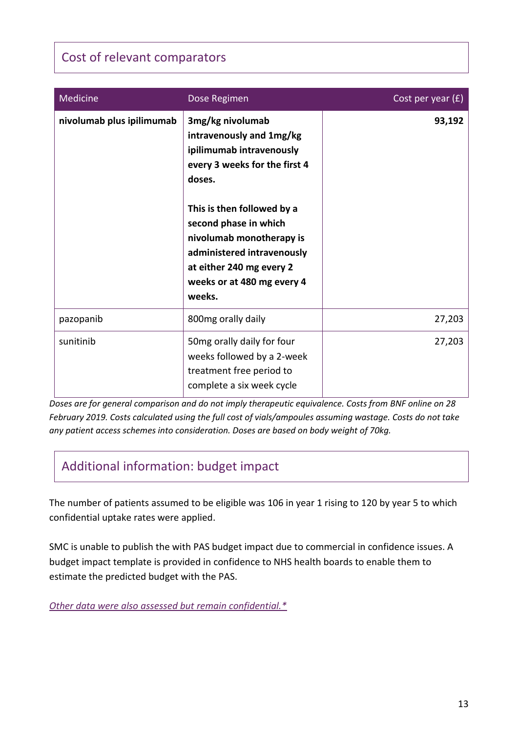# Cost of relevant comparators

| Medicine                  | Dose Regimen                                                                                                                                                                                                                                                                                             | Cost per year $(f)$ |
|---------------------------|----------------------------------------------------------------------------------------------------------------------------------------------------------------------------------------------------------------------------------------------------------------------------------------------------------|---------------------|
| nivolumab plus ipilimumab | 3mg/kg nivolumab<br>intravenously and 1mg/kg<br>ipilimumab intravenously<br>every 3 weeks for the first 4<br>doses.<br>This is then followed by a<br>second phase in which<br>nivolumab monotherapy is<br>administered intravenously<br>at either 240 mg every 2<br>weeks or at 480 mg every 4<br>weeks. | 93,192              |
| pazopanib                 | 800mg orally daily                                                                                                                                                                                                                                                                                       | 27,203              |
| sunitinib                 | 50mg orally daily for four<br>weeks followed by a 2-week<br>treatment free period to<br>complete a six week cycle                                                                                                                                                                                        | 27,203              |

*Doses are for general comparison and do not imply therapeutic equivalence. Costs from BNF online on 28 February 2019. Costs calculated using the full cost of vials/ampoules assuming wastage. Costs do not take any patient access schemes into consideration. Doses are based on body weight of 70kg.*

# Additional information: budget impact

The number of patients assumed to be eligible was 106 in year 1 rising to 120 by year 5 to which confidential uptake rates were applied.

SMC is unable to publish the with PAS budget impact due to commercial in confidence issues. A budget impact template is provided in confidence to NHS health boards to enable them to estimate the predicted budget with the PAS.

*[Other data were also assessed but remain confidential.\\*](https://www.scottishmedicines.org.uk/media/3572/20180710-release-of-company-data.pdf)*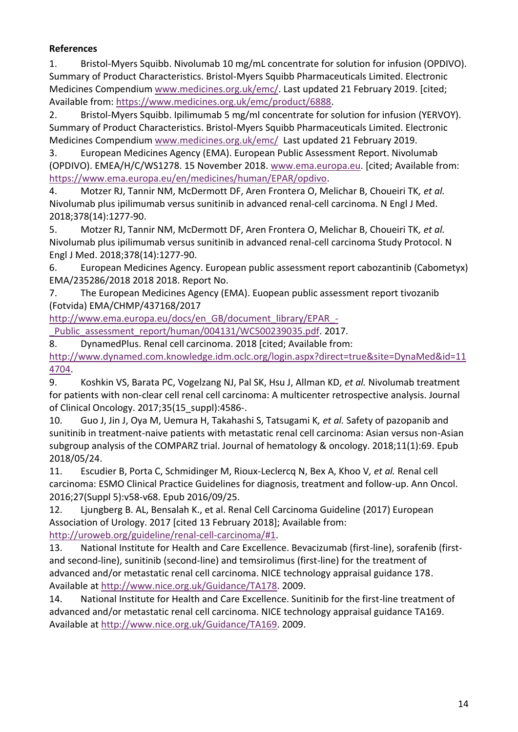### **References**

1. Bristol-Myers Squibb. Nivolumab 10 mg/mL concentrate for solution for infusion (OPDIVO). Summary of Product Characteristics. Bristol-Myers Squibb Pharmaceuticals Limited. Electronic Medicines Compendium [www.medicines.org.uk/emc/.](file:///C:/Users/jenniferhi/AppData/Local/Microsoft/Windows/Temporary%20Internet%20Files/Content.Outlook/FTPVXMFR/www.medicines.org.uk/emc/) Last updated 21 February 2019. [cited; Available from: [https://www.medicines.org.uk/emc/product/6888.](https://www.medicines.org.uk/emc/product/6888)

2. Bristol-Myers Squibb. Ipilimumab 5 mg/ml concentrate for solution for infusion (YERVOY). Summary of Product Characteristics. Bristol-Myers Squibb Pharmaceuticals Limited. Electronic Medicines Compendium [www.medicines.org.uk/emc/](file:///C:/Users/jenniferhi/AppData/Local/Microsoft/Windows/Temporary%20Internet%20Files/Content.Outlook/FTPVXMFR/www.medicines.org.uk/emc/) Last updated 21 February 2019.

3. European Medicines Agency (EMA). European Public Assessment Report. Nivolumab (OPDIVO). EMEA/H/C/WS1278. 15 November 2018. [www.ema.europa.eu.](file:///C:/Users/jenniferhi/AppData/Local/Microsoft/Windows/Temporary%20Internet%20Files/Content.Outlook/FTPVXMFR/www.ema.europa.eu) [cited; Available from: [https://www.ema.europa.eu/en/medicines/human/EPAR/opdivo.](https://www.ema.europa.eu/en/medicines/human/EPAR/opdivo)

4. Motzer RJ, Tannir NM, McDermott DF, Aren Frontera O, Melichar B, Choueiri TK*, et al.* Nivolumab plus ipilimumab versus sunitinib in advanced renal-cell carcinoma. N Engl J Med. 2018;378(14):1277-90.

5. Motzer RJ, Tannir NM, McDermott DF, Aren Frontera O, Melichar B, Choueiri TK*, et al.* Nivolumab plus ipilimumab versus sunitinib in advanced renal-cell carcinoma Study Protocol. N Engl J Med. 2018;378(14):1277-90.

6. European Medicines Agency. European public assessment report cabozantinib (Cabometyx) EMA/235286/2018 2018 2018. Report No.

7. The European Medicines Agency (EMA). Euopean public assessment report tivozanib (Fotvida) EMA/CHMP/437168/2017

[http://www.ema.europa.eu/docs/en\\_GB/document\\_library/EPAR\\_-](http://www.ema.europa.eu/docs/en_GB/document_library/EPAR_-_Public_assessment_report/human/004131/WC500239035.pdf)

Public assessment report/human/004131/WC500239035.pdf. 2017.

8. DynamedPlus. Renal cell carcinoma. 2018 [cited; Available from:

[http://www.dynamed.com.knowledge.idm.oclc.org/login.aspx?direct=true&site=DynaMed&id=11](http://www.dynamed.com.knowledge.idm.oclc.org/login.aspx?direct=true&site=DynaMed&id=114704) [4704.](http://www.dynamed.com.knowledge.idm.oclc.org/login.aspx?direct=true&site=DynaMed&id=114704)

9. Koshkin VS, Barata PC, Vogelzang NJ, Pal SK, Hsu J, Allman KD*, et al.* Nivolumab treatment for patients with non-clear cell renal cell carcinoma: A multicenter retrospective analysis. Journal of Clinical Oncology. 2017;35(15\_suppl):4586-.

10. Guo J, Jin J, Oya M, Uemura H, Takahashi S, Tatsugami K*, et al.* Safety of pazopanib and sunitinib in treatment-naive patients with metastatic renal cell carcinoma: Asian versus non-Asian subgroup analysis of the COMPARZ trial. Journal of hematology & oncology. 2018;11(1):69. Epub 2018/05/24.

11. Escudier B, Porta C, Schmidinger M, Rioux-Leclercq N, Bex A, Khoo V*, et al.* Renal cell carcinoma: ESMO Clinical Practice Guidelines for diagnosis, treatment and follow-up. Ann Oncol. 2016;27(Suppl 5):v58-v68. Epub 2016/09/25.

12. Ljungberg B. AL, Bensalah K., et al. Renal Cell Carcinoma Guideline (2017) European Association of Urology. 2017 [cited 13 February 2018]; Available from: [http://uroweb.org/guideline/renal-cell-carcinoma/#1.](http://uroweb.org/guideline/renal-cell-carcinoma/#1)

13. National Institute for Health and Care Excellence. Bevacizumab (first-line), sorafenib (firstand second-line), sunitinib (second-line) and temsirolimus (first-line) for the treatment of advanced and/or metastatic renal cell carcinoma. NICE technology appraisal guidance 178. Available at [http://www.nice.org.uk/Guidance/TA178.](http://www.nice.org.uk/Guidance/TA178) 2009.

14. National Institute for Health and Care Excellence. Sunitinib for the first-line treatment of advanced and/or metastatic renal cell carcinoma. NICE technology appraisal guidance TA169. Available at [http://www.nice.org.uk/Guidance/TA169.](http://www.nice.org.uk/Guidance/TA169) 2009.